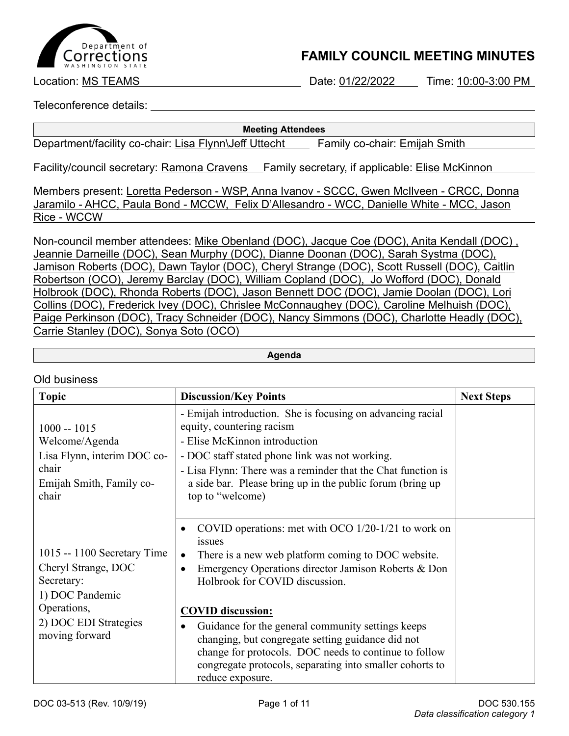

## **FAMILY COUNCIL MEETING MINUTES**

Location: MS TEAMS Date: 01/22/2022 Time: 10:00-3:00 PM

Teleconference details:

#### **Meeting Attendees**

Department/facility co-chair: Lisa Flynn\Jeff Uttecht Family co-chair: Emijah Smith

Facility/council secretary: Ramona Cravens Family secretary, if applicable: Elise McKinnon

Members present: Loretta Pederson - WSP, Anna Ivanov - SCCC, Gwen McIlveen - CRCC, Donna Jaramilo - AHCC, Paula Bond - MCCW, Felix D'Allesandro - WCC, Danielle White - MCC, Jason Rice - WCCW

Non-council member attendees: Mike Obenland (DOC), Jacque Coe (DOC), Anita Kendall (DOC) , Jeannie Darneille (DOC), Sean Murphy (DOC), Dianne Doonan (DOC), Sarah Systma (DOC), Jamison Roberts (DOC), Dawn Taylor (DOC), Cheryl Strange (DOC), Scott Russell (DOC), Caitlin Robertson (OCO), Jeremy Barclay (DOC), William Copland (DOC), Jo Wofford (DOC), Donald Holbrook (DOC), Rhonda Roberts (DOC), Jason Bennett DOC (DOC), Jamie Doolan (DOC), Lori Collins (DOC), Frederick Ivey (DOC), Chrislee McConnaughey (DOC), Caroline Melhuish (DOC), Paige Perkinson (DOC), Tracy Schneider (DOC), Nancy Simmons (DOC), Charlotte Headly (DOC), Carrie Stanley (DOC), Sonya Soto (OCO)

**Agenda**

### Old business

| <b>Topic</b>                                                                                                                                   | <b>Discussion/Key Points</b>                                                                                                                                                                                                                                                                                                                                                                                                                                                                                                         | <b>Next Steps</b> |
|------------------------------------------------------------------------------------------------------------------------------------------------|--------------------------------------------------------------------------------------------------------------------------------------------------------------------------------------------------------------------------------------------------------------------------------------------------------------------------------------------------------------------------------------------------------------------------------------------------------------------------------------------------------------------------------------|-------------------|
| $1000 - 1015$<br>Welcome/Agenda<br>Lisa Flynn, interim DOC co-<br>chair<br>Emijah Smith, Family co-<br>chair                                   | - Emijah introduction. She is focusing on advancing racial<br>equity, countering racism<br>- Elise McKinnon introduction<br>- DOC staff stated phone link was not working.<br>- Lisa Flynn: There was a reminder that the Chat function is<br>a side bar. Please bring up in the public forum (bring up<br>top to "welcome)                                                                                                                                                                                                          |                   |
| $1015 - 1100$ Secretary Time<br>Cheryl Strange, DOC<br>Secretary:<br>1) DOC Pandemic<br>Operations,<br>2) DOC EDI Strategies<br>moving forward | COVID operations: met with OCO $1/20-1/21$ to work on<br>$\bullet$<br>issues<br>There is a new web platform coming to DOC website.<br>$\bullet$<br>Emergency Operations director Jamison Roberts & Don<br>$\bullet$<br>Holbrook for COVID discussion.<br><b>COVID</b> discussion:<br>Guidance for the general community settings keeps<br>changing, but congregate setting guidance did not<br>change for protocols. DOC needs to continue to follow<br>congregate protocols, separating into smaller cohorts to<br>reduce exposure. |                   |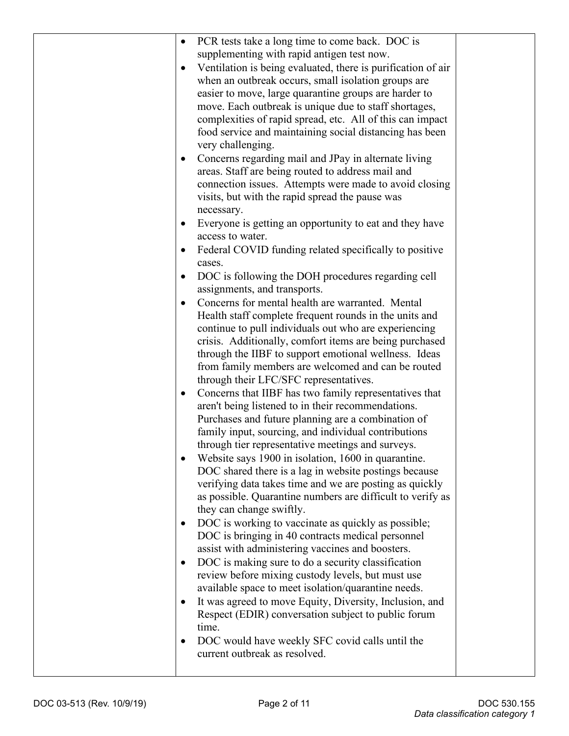| $\bullet$ | PCR tests take a long time to come back. DOC is                                  |  |
|-----------|----------------------------------------------------------------------------------|--|
|           | supplementing with rapid antigen test now.                                       |  |
| $\bullet$ | Ventilation is being evaluated, there is purification of air                     |  |
|           | when an outbreak occurs, small isolation groups are                              |  |
|           | easier to move, large quarantine groups are harder to                            |  |
|           | move. Each outbreak is unique due to staff shortages,                            |  |
|           | complexities of rapid spread, etc. All of this can impact                        |  |
|           | food service and maintaining social distancing has been                          |  |
|           | very challenging.                                                                |  |
| $\bullet$ | Concerns regarding mail and JPay in alternate living                             |  |
|           | areas. Staff are being routed to address mail and                                |  |
|           | connection issues. Attempts were made to avoid closing                           |  |
|           | visits, but with the rapid spread the pause was                                  |  |
|           | necessary.                                                                       |  |
| $\bullet$ | Everyone is getting an opportunity to eat and they have                          |  |
|           | access to water.                                                                 |  |
| ٠         | Federal COVID funding related specifically to positive                           |  |
|           | cases.                                                                           |  |
| $\bullet$ | DOC is following the DOH procedures regarding cell                               |  |
|           | assignments, and transports.                                                     |  |
|           | Concerns for mental health are warranted. Mental                                 |  |
|           | Health staff complete frequent rounds in the units and                           |  |
|           | continue to pull individuals out who are experiencing                            |  |
|           | crisis. Additionally, comfort items are being purchased                          |  |
|           | through the IIBF to support emotional wellness. Ideas                            |  |
|           | from family members are welcomed and can be routed                               |  |
|           | through their LFC/SFC representatives.                                           |  |
| $\bullet$ | Concerns that IIBF has two family representatives that                           |  |
|           | aren't being listened to in their recommendations.                               |  |
|           | Purchases and future planning are a combination of                               |  |
|           | family input, sourcing, and individual contributions                             |  |
|           | through tier representative meetings and surveys.                                |  |
|           | Website says 1900 in isolation, 1600 in quarantine.                              |  |
|           | DOC shared there is a lag in website postings because                            |  |
|           | verifying data takes time and we are posting as quickly                          |  |
|           | as possible. Quarantine numbers are difficult to verify as                       |  |
|           | they can change swiftly.                                                         |  |
| $\bullet$ | DOC is working to vaccinate as quickly as possible;                              |  |
|           | DOC is bringing in 40 contracts medical personnel                                |  |
|           | assist with administering vaccines and boosters.                                 |  |
| $\bullet$ | DOC is making sure to do a security classification                               |  |
|           | review before mixing custody levels, but must use                                |  |
|           | available space to meet isolation/quarantine needs.                              |  |
| $\bullet$ | It was agreed to move Equity, Diversity, Inclusion, and                          |  |
|           | Respect (EDIR) conversation subject to public forum                              |  |
|           | time.                                                                            |  |
| $\bullet$ | DOC would have weekly SFC covid calls until the<br>current outbreak as resolved. |  |
|           |                                                                                  |  |
|           |                                                                                  |  |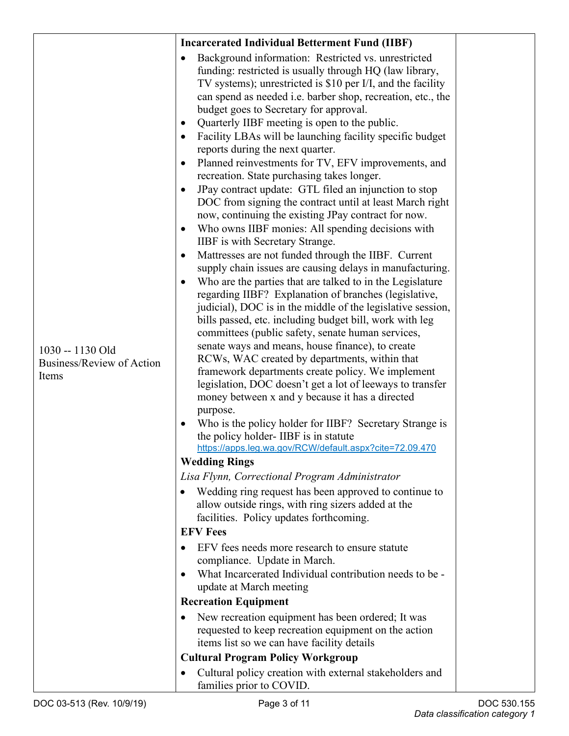|                                                        | <b>Incarcerated Individual Betterment Fund (IIBF)</b>                                                                                                                                                                                                                                                                                                                                                                                                                                                                                                                                                                                                                                                                                                                                                                                                                                                                                                                                                                                                                                                                                                                                                                                                                                                                                                                                                                                                                                                                                                                                                                                                                                                                                                                                                                                                                                                                                                                                                                                                                                                                                                                                                                                                                                                                                                                                                                                                                                                                          |  |
|--------------------------------------------------------|--------------------------------------------------------------------------------------------------------------------------------------------------------------------------------------------------------------------------------------------------------------------------------------------------------------------------------------------------------------------------------------------------------------------------------------------------------------------------------------------------------------------------------------------------------------------------------------------------------------------------------------------------------------------------------------------------------------------------------------------------------------------------------------------------------------------------------------------------------------------------------------------------------------------------------------------------------------------------------------------------------------------------------------------------------------------------------------------------------------------------------------------------------------------------------------------------------------------------------------------------------------------------------------------------------------------------------------------------------------------------------------------------------------------------------------------------------------------------------------------------------------------------------------------------------------------------------------------------------------------------------------------------------------------------------------------------------------------------------------------------------------------------------------------------------------------------------------------------------------------------------------------------------------------------------------------------------------------------------------------------------------------------------------------------------------------------------------------------------------------------------------------------------------------------------------------------------------------------------------------------------------------------------------------------------------------------------------------------------------------------------------------------------------------------------------------------------------------------------------------------------------------------------|--|
| 1030 -- 1130 Old<br>Business/Review of Action<br>Items | Background information: Restricted vs. unrestricted<br>$\bullet$<br>funding: restricted is usually through HQ (law library,<br>TV systems); unrestricted is \$10 per I/I, and the facility<br>can spend as needed i.e. barber shop, recreation, etc., the<br>budget goes to Secretary for approval.<br>Quarterly IIBF meeting is open to the public.<br>٠<br>Facility LBAs will be launching facility specific budget<br>reports during the next quarter.<br>Planned reinvestments for TV, EFV improvements, and<br>$\bullet$<br>recreation. State purchasing takes longer.<br>JPay contract update: GTL filed an injunction to stop<br>$\bullet$<br>DOC from signing the contract until at least March right<br>now, continuing the existing JPay contract for now.<br>Who owns IIBF monies: All spending decisions with<br>$\bullet$<br>IIBF is with Secretary Strange.<br>Mattresses are not funded through the IIBF. Current<br>٠<br>supply chain issues are causing delays in manufacturing.<br>Who are the parties that are talked to in the Legislature<br>regarding IIBF? Explanation of branches (legislative,<br>judicial), DOC is in the middle of the legislative session,<br>bills passed, etc. including budget bill, work with leg<br>committees (public safety, senate human services,<br>senate ways and means, house finance), to create<br>RCWs, WAC created by departments, within that<br>framework departments create policy. We implement<br>legislation, DOC doesn't get a lot of leeways to transfer<br>money between x and y because it has a directed<br>purpose.<br>Who is the policy holder for IIBF? Secretary Strange is<br>$\bullet$<br>the policy holder-IIBF is in statute<br>https://apps.leg.wa.gov/RCW/default.aspx?cite=72.09.470<br><b>Wedding Rings</b><br>Lisa Flynn, Correctional Program Administrator<br>Wedding ring request has been approved to continue to<br>allow outside rings, with ring sizers added at the<br>facilities. Policy updates forthcoming.<br><b>EFV Fees</b><br>EFV fees needs more research to ensure statute<br>compliance. Update in March.<br>What Incarcerated Individual contribution needs to be -<br>$\bullet$<br>update at March meeting<br><b>Recreation Equipment</b><br>New recreation equipment has been ordered; It was<br>٠<br>requested to keep recreation equipment on the action<br>items list so we can have facility details<br><b>Cultural Program Policy Workgroup</b><br>Cultural policy creation with external stakeholders and<br>٠ |  |
|                                                        | families prior to COVID.                                                                                                                                                                                                                                                                                                                                                                                                                                                                                                                                                                                                                                                                                                                                                                                                                                                                                                                                                                                                                                                                                                                                                                                                                                                                                                                                                                                                                                                                                                                                                                                                                                                                                                                                                                                                                                                                                                                                                                                                                                                                                                                                                                                                                                                                                                                                                                                                                                                                                                       |  |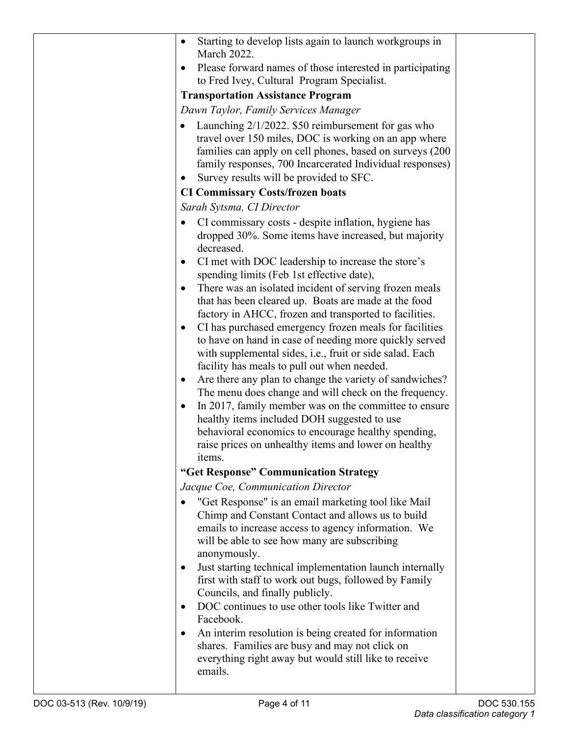|                           | Starting to develop lists again to launch workgroups in<br>$\bullet$<br><b>March 2022.</b>                                                                                                                                                                                                                                                                                                                                                                                                                                                                                                                                                                                                                                                                                                                                                                                                                                                                                                                                                   |             |
|---------------------------|----------------------------------------------------------------------------------------------------------------------------------------------------------------------------------------------------------------------------------------------------------------------------------------------------------------------------------------------------------------------------------------------------------------------------------------------------------------------------------------------------------------------------------------------------------------------------------------------------------------------------------------------------------------------------------------------------------------------------------------------------------------------------------------------------------------------------------------------------------------------------------------------------------------------------------------------------------------------------------------------------------------------------------------------|-------------|
|                           | Please forward names of those interested in participating<br>$\bullet$<br>to Fred Ivey, Cultural Program Specialist.                                                                                                                                                                                                                                                                                                                                                                                                                                                                                                                                                                                                                                                                                                                                                                                                                                                                                                                         |             |
|                           | <b>Transportation Assistance Program</b>                                                                                                                                                                                                                                                                                                                                                                                                                                                                                                                                                                                                                                                                                                                                                                                                                                                                                                                                                                                                     |             |
|                           | Dawn Taylor, Family Services Manager                                                                                                                                                                                                                                                                                                                                                                                                                                                                                                                                                                                                                                                                                                                                                                                                                                                                                                                                                                                                         |             |
|                           | Launching 2/1/2022. \$50 reimbursement for gas who<br>$\bullet$<br>travel over 150 miles, DOC is working on an app where<br>families can apply on cell phones, based on surveys (200<br>family responses, 700 Incarcerated Individual responses)<br>Survey results will be provided to SFC.                                                                                                                                                                                                                                                                                                                                                                                                                                                                                                                                                                                                                                                                                                                                                  |             |
|                           | <b>CI Commissary Costs/frozen boats</b>                                                                                                                                                                                                                                                                                                                                                                                                                                                                                                                                                                                                                                                                                                                                                                                                                                                                                                                                                                                                      |             |
|                           | Sarah Sytsma, CI Director                                                                                                                                                                                                                                                                                                                                                                                                                                                                                                                                                                                                                                                                                                                                                                                                                                                                                                                                                                                                                    |             |
|                           | CI commissary costs - despite inflation, hygiene has<br>dropped 30%. Some items have increased, but majority<br>decreased.<br>CI met with DOC leadership to increase the store's<br>٠<br>spending limits (Feb 1st effective date),<br>There was an isolated incident of serving frozen meals<br>$\bullet$<br>that has been cleared up. Boats are made at the food<br>factory in AHCC, frozen and transported to facilities.<br>CI has purchased emergency frozen meals for facilities<br>$\bullet$<br>to have on hand in case of needing more quickly served<br>with supplemental sides, i.e., fruit or side salad. Each<br>facility has meals to pull out when needed.<br>Are there any plan to change the variety of sandwiches?<br>$\bullet$<br>The menu does change and will check on the frequency.<br>In 2017, family member was on the committee to ensure<br>$\bullet$<br>healthy items included DOH suggested to use<br>behavioral economics to encourage healthy spending,<br>raise prices on unhealthy items and lower on healthy |             |
|                           | items.<br>"Get Response" Communication Strategy                                                                                                                                                                                                                                                                                                                                                                                                                                                                                                                                                                                                                                                                                                                                                                                                                                                                                                                                                                                              |             |
|                           | Jacque Coe, Communication Director                                                                                                                                                                                                                                                                                                                                                                                                                                                                                                                                                                                                                                                                                                                                                                                                                                                                                                                                                                                                           |             |
|                           | "Get Response" is an email marketing tool like Mail<br>Chimp and Constant Contact and allows us to build<br>emails to increase access to agency information. We<br>will be able to see how many are subscribing<br>anonymously.<br>Just starting technical implementation launch internally<br>$\bullet$<br>first with staff to work out bugs, followed by Family<br>Councils, and finally publicly.<br>DOC continues to use other tools like Twitter and<br>$\bullet$<br>Facebook.<br>An interim resolution is being created for information<br>$\bullet$<br>shares. Families are busy and may not click on<br>everything right away but would still like to receive<br>emails.                                                                                                                                                                                                                                                                                                                                                             |             |
| DOC 03-513 (Rev. 10/9/19) | Page 4 of 11                                                                                                                                                                                                                                                                                                                                                                                                                                                                                                                                                                                                                                                                                                                                                                                                                                                                                                                                                                                                                                 | DOC 530.155 |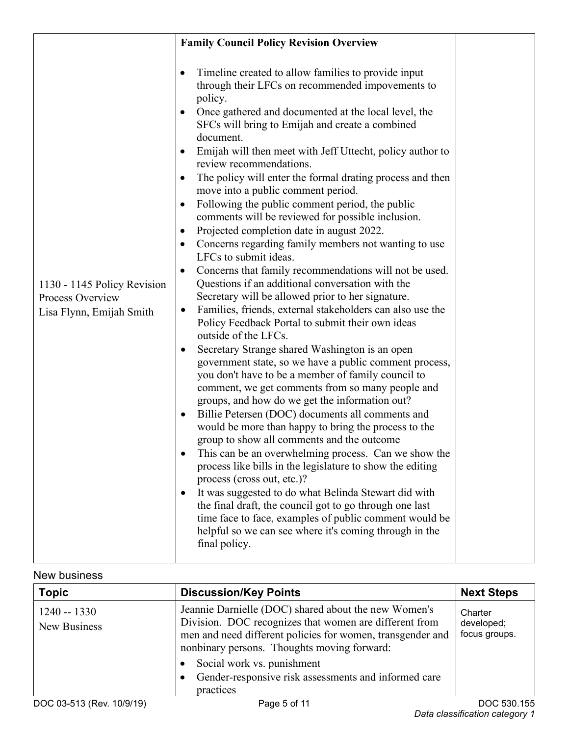|                                                                             | <b>Family Council Policy Revision Overview</b>                                                                                                                                                                                                                                                                                                                                                                                                                                                                                                                                                                                                                                                                                                                                                                                                                                                                                                                                                                                                                                                                                                                                                                                                                                                                                                                                                                                                                                                                                                                                                                                                                                                                                                                                                                                                                                                                     |  |
|-----------------------------------------------------------------------------|--------------------------------------------------------------------------------------------------------------------------------------------------------------------------------------------------------------------------------------------------------------------------------------------------------------------------------------------------------------------------------------------------------------------------------------------------------------------------------------------------------------------------------------------------------------------------------------------------------------------------------------------------------------------------------------------------------------------------------------------------------------------------------------------------------------------------------------------------------------------------------------------------------------------------------------------------------------------------------------------------------------------------------------------------------------------------------------------------------------------------------------------------------------------------------------------------------------------------------------------------------------------------------------------------------------------------------------------------------------------------------------------------------------------------------------------------------------------------------------------------------------------------------------------------------------------------------------------------------------------------------------------------------------------------------------------------------------------------------------------------------------------------------------------------------------------------------------------------------------------------------------------------------------------|--|
| 1130 - 1145 Policy Revision<br>Process Overview<br>Lisa Flynn, Emijah Smith | Timeline created to allow families to provide input<br>through their LFCs on recommended impovements to<br>policy.<br>Once gathered and documented at the local level, the<br>SFCs will bring to Emijah and create a combined<br>document.<br>Emijah will then meet with Jeff Uttecht, policy author to<br>review recommendations.<br>The policy will enter the formal drating process and then<br>move into a public comment period.<br>Following the public comment period, the public<br>$\bullet$<br>comments will be reviewed for possible inclusion.<br>Projected completion date in august 2022.<br>Concerns regarding family members not wanting to use<br>LFCs to submit ideas.<br>Concerns that family recommendations will not be used.<br>$\bullet$<br>Questions if an additional conversation with the<br>Secretary will be allowed prior to her signature.<br>Families, friends, external stakeholders can also use the<br>$\bullet$<br>Policy Feedback Portal to submit their own ideas<br>outside of the LFCs.<br>Secretary Strange shared Washington is an open<br>$\bullet$<br>government state, so we have a public comment process,<br>you don't have to be a member of family council to<br>comment, we get comments from so many people and<br>groups, and how do we get the information out?<br>Billie Petersen (DOC) documents all comments and<br>$\bullet$<br>would be more than happy to bring the process to the<br>group to show all comments and the outcome<br>This can be an overwhelming process. Can we show the<br>process like bills in the legislature to show the editing<br>process (cross out, etc.)?<br>It was suggested to do what Belinda Stewart did with<br>$\bullet$<br>the final draft, the council got to go through one last<br>time face to face, examples of public comment would be<br>helpful so we can see where it's coming through in the<br>final policy. |  |

## New business

| <b>Topic</b>                  | <b>Discussion/Key Points</b>                                                                                                                                                                                                                                                                                                   | <b>Next Steps</b>                      |
|-------------------------------|--------------------------------------------------------------------------------------------------------------------------------------------------------------------------------------------------------------------------------------------------------------------------------------------------------------------------------|----------------------------------------|
| $1240 - 1330$<br>New Business | Jeannie Darnielle (DOC) shared about the new Women's<br>Division. DOC recognizes that women are different from<br>men and need different policies for women, transgender and<br>nonbinary persons. Thoughts moving forward:<br>Social work vs. punishment<br>Gender-responsive risk assessments and informed care<br>practices | Charter<br>developed;<br>focus groups. |
| DOC 03-513 (Rev. 10/9/19)     | Page 5 of 11                                                                                                                                                                                                                                                                                                                   | DOC 530.155                            |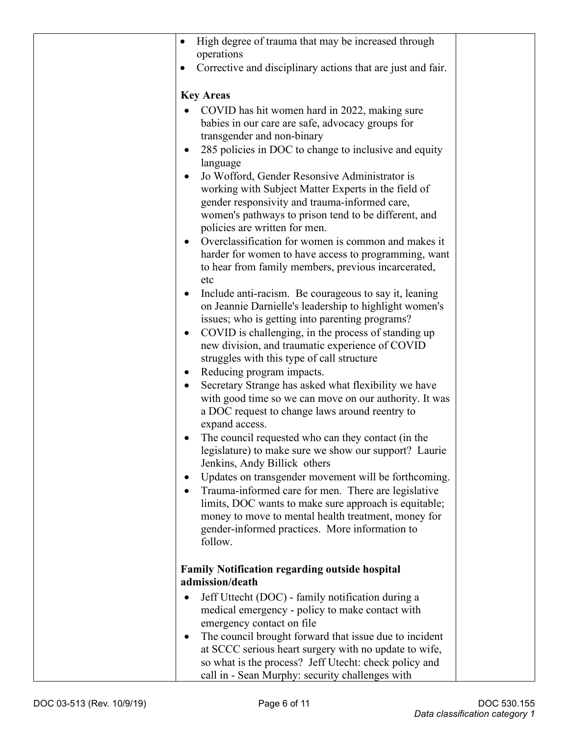| High degree of trauma that may be increased through               |  |
|-------------------------------------------------------------------|--|
| operations                                                        |  |
| Corrective and disciplinary actions that are just and fair.       |  |
|                                                                   |  |
| <b>Key Areas</b>                                                  |  |
| COVID has hit women hard in 2022, making sure                     |  |
| babies in our care are safe, advocacy groups for                  |  |
| transgender and non-binary                                        |  |
| 285 policies in DOC to change to inclusive and equity<br>language |  |
| Jo Wofford, Gender Resonsive Administrator is                     |  |
| working with Subject Matter Experts in the field of               |  |
| gender responsivity and trauma-informed care,                     |  |
| women's pathways to prison tend to be different, and              |  |
| policies are written for men.                                     |  |
| Overclassification for women is common and makes it               |  |
| harder for women to have access to programming, want              |  |
| to hear from family members, previous incarcerated,<br>etc        |  |
| Include anti-racism. Be courageous to say it, leaning             |  |
| on Jeannie Darnielle's leadership to highlight women's            |  |
| issues; who is getting into parenting programs?                   |  |
| COVID is challenging, in the process of standing up               |  |
| new division, and traumatic experience of COVID                   |  |
| struggles with this type of call structure                        |  |
| Reducing program impacts.                                         |  |
| Secretary Strange has asked what flexibility we have              |  |
| with good time so we can move on our authority. It was            |  |
| a DOC request to change laws around reentry to<br>expand access.  |  |
| The council requested who can they contact (in the                |  |
| legislature) to make sure we show our support? Laurie             |  |
| Jenkins, Andy Billick others                                      |  |
| Updates on transgender movement will be forthcoming.              |  |
| Trauma-informed care for men. There are legislative               |  |
| limits, DOC wants to make sure approach is equitable;             |  |
| money to move to mental health treatment, money for               |  |
| gender-informed practices. More information to                    |  |
| follow.                                                           |  |
| <b>Family Notification regarding outside hospital</b>             |  |
| admission/death                                                   |  |
| Jeff Uttecht (DOC) - family notification during a                 |  |
| medical emergency - policy to make contact with                   |  |
| emergency contact on file                                         |  |
| The council brought forward that issue due to incident            |  |
| at SCCC serious heart surgery with no update to wife,             |  |
| so what is the process? Jeff Utecht: check policy and             |  |
| call in - Sean Murphy: security challenges with                   |  |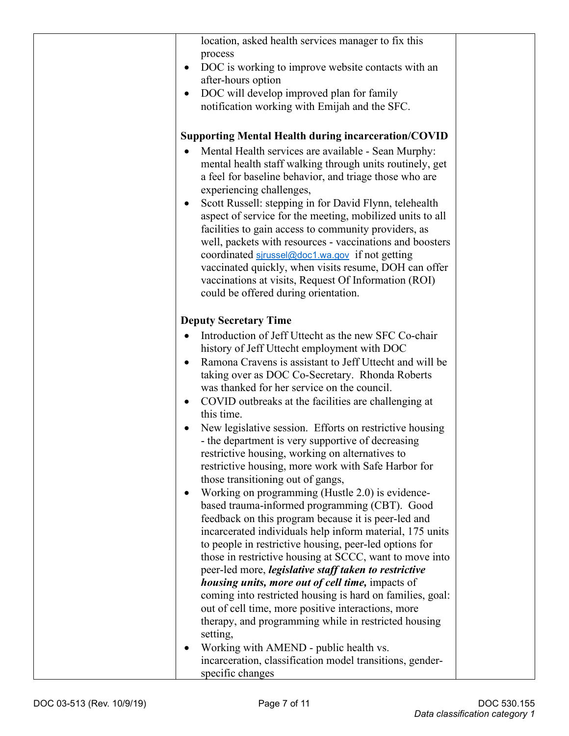| location, asked health services manager to fix this<br>process<br>DOC is working to improve website contacts with an<br>after-hours option<br>DOC will develop improved plan for family<br>$\bullet$<br>notification working with Emijah and the SFC. |  |
|-------------------------------------------------------------------------------------------------------------------------------------------------------------------------------------------------------------------------------------------------------|--|
| <b>Supporting Mental Health during incarceration/COVID</b>                                                                                                                                                                                            |  |
|                                                                                                                                                                                                                                                       |  |
| Mental Health services are available - Sean Murphy:<br>mental health staff walking through units routinely, get<br>a feel for baseline behavior, and triage those who are<br>experiencing challenges,                                                 |  |
| Scott Russell: stepping in for David Flynn, telehealth                                                                                                                                                                                                |  |
| aspect of service for the meeting, mobilized units to all                                                                                                                                                                                             |  |
| facilities to gain access to community providers, as                                                                                                                                                                                                  |  |
| well, packets with resources - vaccinations and boosters                                                                                                                                                                                              |  |
| coordinated sirussel@doc1.wa.gov if not getting                                                                                                                                                                                                       |  |
| vaccinated quickly, when visits resume, DOH can offer                                                                                                                                                                                                 |  |
| vaccinations at visits, Request Of Information (ROI)                                                                                                                                                                                                  |  |
| could be offered during orientation.                                                                                                                                                                                                                  |  |
| <b>Deputy Secretary Time</b>                                                                                                                                                                                                                          |  |
| Introduction of Jeff Uttecht as the new SFC Co-chair                                                                                                                                                                                                  |  |
| history of Jeff Uttecht employment with DOC                                                                                                                                                                                                           |  |
| Ramona Cravens is assistant to Jeff Uttecht and will be                                                                                                                                                                                               |  |
| taking over as DOC Co-Secretary. Rhonda Roberts                                                                                                                                                                                                       |  |
| was thanked for her service on the council.                                                                                                                                                                                                           |  |
| COVID outbreaks at the facilities are challenging at<br>٠                                                                                                                                                                                             |  |
| this time.                                                                                                                                                                                                                                            |  |
| New legislative session. Efforts on restrictive housing                                                                                                                                                                                               |  |
| - the department is very supportive of decreasing                                                                                                                                                                                                     |  |
| restrictive housing, working on alternatives to                                                                                                                                                                                                       |  |
| restrictive housing, more work with Safe Harbor for                                                                                                                                                                                                   |  |
| those transitioning out of gangs,                                                                                                                                                                                                                     |  |
| Working on programming (Hustle 2.0) is evidence-                                                                                                                                                                                                      |  |
| based trauma-informed programming (CBT). Good                                                                                                                                                                                                         |  |
| feedback on this program because it is peer-led and                                                                                                                                                                                                   |  |
| incarcerated individuals help inform material, 175 units                                                                                                                                                                                              |  |
| to people in restrictive housing, peer-led options for                                                                                                                                                                                                |  |
| those in restrictive housing at SCCC, want to move into                                                                                                                                                                                               |  |
| peer-led more, <i>legislative staff taken to restrictive</i>                                                                                                                                                                                          |  |
| <i>housing units, more out of cell time, impacts of</i>                                                                                                                                                                                               |  |
| coming into restricted housing is hard on families, goal:                                                                                                                                                                                             |  |
| out of cell time, more positive interactions, more                                                                                                                                                                                                    |  |
| therapy, and programming while in restricted housing                                                                                                                                                                                                  |  |
| setting,                                                                                                                                                                                                                                              |  |
| Working with AMEND - public health vs.                                                                                                                                                                                                                |  |
| incarceration, classification model transitions, gender-                                                                                                                                                                                              |  |
| specific changes                                                                                                                                                                                                                                      |  |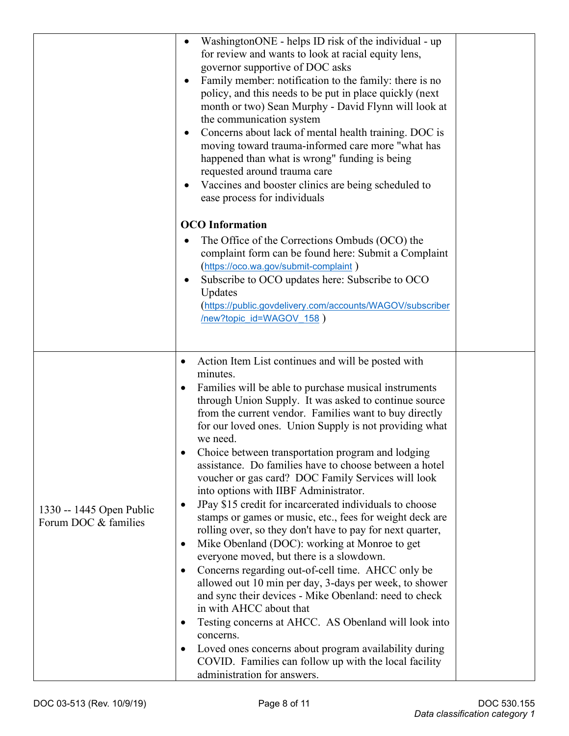|                                                  | WashingtonONE - helps ID risk of the individual - up<br>$\bullet$<br>for review and wants to look at racial equity lens,<br>governor supportive of DOC asks<br>Family member: notification to the family: there is no<br>policy, and this needs to be put in place quickly (next<br>month or two) Sean Murphy - David Flynn will look at<br>the communication system<br>Concerns about lack of mental health training. DOC is<br>moving toward trauma-informed care more "what has<br>happened than what is wrong" funding is being<br>requested around trauma care<br>Vaccines and booster clinics are being scheduled to<br>ease process for individuals                                                                                                                                                                                                                                                                                                                                                                                                                                                                                                                                                                                                                                                                  |  |
|--------------------------------------------------|-----------------------------------------------------------------------------------------------------------------------------------------------------------------------------------------------------------------------------------------------------------------------------------------------------------------------------------------------------------------------------------------------------------------------------------------------------------------------------------------------------------------------------------------------------------------------------------------------------------------------------------------------------------------------------------------------------------------------------------------------------------------------------------------------------------------------------------------------------------------------------------------------------------------------------------------------------------------------------------------------------------------------------------------------------------------------------------------------------------------------------------------------------------------------------------------------------------------------------------------------------------------------------------------------------------------------------|--|
|                                                  | <b>OCO</b> Information<br>The Office of the Corrections Ombuds (OCO) the<br>complaint form can be found here: Submit a Complaint<br>(https://oco.wa.gov/submit-complaint)<br>Subscribe to OCO updates here: Subscribe to OCO<br>Updates<br>(https://public.govdelivery.com/accounts/WAGOV/subscriber<br>new?topic_id=WAGOV_158 )                                                                                                                                                                                                                                                                                                                                                                                                                                                                                                                                                                                                                                                                                                                                                                                                                                                                                                                                                                                            |  |
| 1330 -- 1445 Open Public<br>Forum DOC & families | Action Item List continues and will be posted with<br>$\bullet$<br>minutes.<br>Families will be able to purchase musical instruments<br>٠<br>through Union Supply. It was asked to continue source<br>from the current vendor. Families want to buy directly<br>for our loved ones. Union Supply is not providing what<br>we need.<br>Choice between transportation program and lodging<br>assistance. Do families have to choose between a hotel<br>voucher or gas card? DOC Family Services will look<br>into options with IIBF Administrator.<br>JPay \$15 credit for incarcerated individuals to choose<br>$\bullet$<br>stamps or games or music, etc., fees for weight deck are<br>rolling over, so they don't have to pay for next quarter,<br>Mike Obenland (DOC): working at Monroe to get<br>$\bullet$<br>everyone moved, but there is a slowdown.<br>Concerns regarding out-of-cell time. AHCC only be<br>$\bullet$<br>allowed out 10 min per day, 3-days per week, to shower<br>and sync their devices - Mike Obenland: need to check<br>in with AHCC about that<br>Testing concerns at AHCC. AS Obenland will look into<br>$\bullet$<br>concerns.<br>Loved ones concerns about program availability during<br>$\bullet$<br>COVID. Families can follow up with the local facility<br>administration for answers. |  |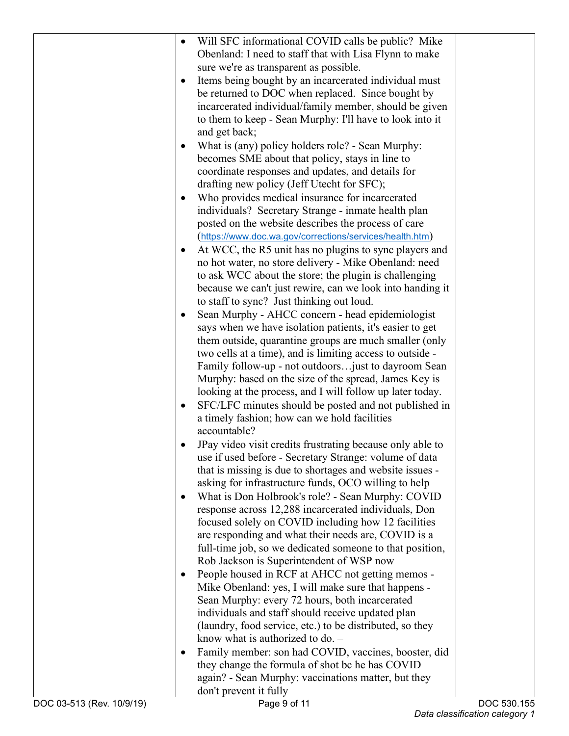| $\bullet$ | Will SFC informational COVID calls be public? Mike        |  |
|-----------|-----------------------------------------------------------|--|
|           | Obenland: I need to staff that with Lisa Flynn to make    |  |
|           | sure we're as transparent as possible.                    |  |
| $\bullet$ | Items being bought by an incarcerated individual must     |  |
|           | be returned to DOC when replaced. Since bought by         |  |
|           | incarcerated individual/family member, should be given    |  |
|           | to them to keep - Sean Murphy: I'll have to look into it  |  |
|           | and get back;                                             |  |
| $\bullet$ | What is (any) policy holders role? - Sean Murphy:         |  |
|           | becomes SME about that policy, stays in line to           |  |
|           | coordinate responses and updates, and details for         |  |
|           | drafting new policy (Jeff Utecht for SFC);                |  |
| $\bullet$ | Who provides medical insurance for incarcerated           |  |
|           | individuals? Secretary Strange - inmate health plan       |  |
|           | posted on the website describes the process of care       |  |
|           | (https://www.doc.wa.gov/corrections/services/health.htm)  |  |
|           |                                                           |  |
| ٠         | At WCC, the R5 unit has no plugins to sync players and    |  |
|           | no hot water, no store delivery - Mike Obenland: need     |  |
|           | to ask WCC about the store; the plugin is challenging     |  |
|           | because we can't just rewire, can we look into handing it |  |
|           | to staff to sync? Just thinking out loud.                 |  |
| ٠         | Sean Murphy - AHCC concern - head epidemiologist          |  |
|           | says when we have isolation patients, it's easier to get  |  |
|           | them outside, quarantine groups are much smaller (only    |  |
|           | two cells at a time), and is limiting access to outside - |  |
|           | Family follow-up - not outdoorsjust to dayroom Sean       |  |
|           | Murphy: based on the size of the spread, James Key is     |  |
|           | looking at the process, and I will follow up later today. |  |
| ٠         | SFC/LFC minutes should be posted and not published in     |  |
|           | a timely fashion; how can we hold facilities              |  |
|           | accountable?                                              |  |
|           | JPay video visit credits frustrating because only able to |  |
|           | use if used before - Secretary Strange: volume of data    |  |
|           | that is missing is due to shortages and website issues -  |  |
|           | asking for infrastructure funds, OCO willing to help      |  |
| $\bullet$ | What is Don Holbrook's role? - Sean Murphy: COVID         |  |
|           | response across 12,288 incarcerated individuals, Don      |  |
|           | focused solely on COVID including how 12 facilities       |  |
|           | are responding and what their needs are, COVID is a       |  |
|           | full-time job, so we dedicated someone to that position,  |  |
|           | Rob Jackson is Superintendent of WSP now                  |  |
| $\bullet$ | People housed in RCF at AHCC not getting memos -          |  |
|           | Mike Obenland: yes, I will make sure that happens -       |  |
|           | Sean Murphy: every 72 hours, both incarcerated            |  |
|           | individuals and staff should receive updated plan         |  |
|           | (laundry, food service, etc.) to be distributed, so they  |  |
|           | know what is authorized to do. $-$                        |  |
| $\bullet$ | Family member: son had COVID, vaccines, booster, did      |  |
|           | they change the formula of shot bc he has COVID           |  |
|           | again? - Sean Murphy: vaccinations matter, but they       |  |
|           | don't prevent it fully                                    |  |
|           |                                                           |  |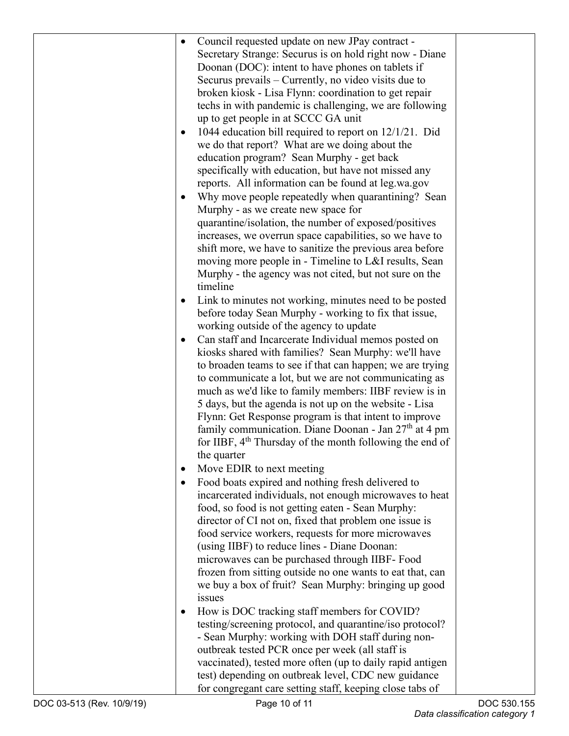| $\bullet$ | Council requested update on new JPay contract -                      |  |
|-----------|----------------------------------------------------------------------|--|
|           | Secretary Strange: Securus is on hold right now - Diane              |  |
|           | Doonan (DOC): intent to have phones on tablets if                    |  |
|           | Securus prevails – Currently, no video visits due to                 |  |
|           |                                                                      |  |
|           | broken kiosk - Lisa Flynn: coordination to get repair                |  |
|           | techs in with pandemic is challenging, we are following              |  |
|           | up to get people in at SCCC GA unit                                  |  |
|           | 1044 education bill required to report on $12/1/21$ . Did            |  |
|           | we do that report? What are we doing about the                       |  |
|           | education program? Sean Murphy - get back                            |  |
|           | specifically with education, but have not missed any                 |  |
|           | reports. All information can be found at leg.wa.gov                  |  |
|           | Why move people repeatedly when quarantining? Sean                   |  |
|           | Murphy - as we create new space for                                  |  |
|           | quarantine/isolation, the number of exposed/positives                |  |
|           |                                                                      |  |
|           | increases, we overrun space capabilities, so we have to              |  |
|           | shift more, we have to sanitize the previous area before             |  |
|           | moving more people in - Timeline to L&I results, Sean                |  |
|           | Murphy - the agency was not cited, but not sure on the               |  |
|           | timeline                                                             |  |
|           | Link to minutes not working, minutes need to be posted               |  |
|           | before today Sean Murphy - working to fix that issue,                |  |
|           | working outside of the agency to update                              |  |
|           | Can staff and Incarcerate Individual memos posted on                 |  |
|           | kiosks shared with families? Sean Murphy: we'll have                 |  |
|           | to broaden teams to see if that can happen; we are trying            |  |
|           | to communicate a lot, but we are not communicating as                |  |
|           | much as we'd like to family members: IIBF review is in               |  |
|           | 5 days, but the agenda is not up on the website - Lisa               |  |
|           | Flynn: Get Response program is that intent to improve                |  |
|           | family communication. Diane Doonan - Jan 27 <sup>th</sup> at 4 pm    |  |
|           | for IIBF, 4 <sup>th</sup> Thursday of the month following the end of |  |
|           |                                                                      |  |
|           | the quarter                                                          |  |
|           | Move EDIR to next meeting                                            |  |
|           | Food boats expired and nothing fresh delivered to                    |  |
|           | incarcerated individuals, not enough microwaves to heat              |  |
|           | food, so food is not getting eaten - Sean Murphy:                    |  |
|           | director of CI not on, fixed that problem one issue is               |  |
|           | food service workers, requests for more microwaves                   |  |
|           | (using IIBF) to reduce lines - Diane Doonan:                         |  |
|           | microwaves can be purchased through IIBF- Food                       |  |
|           | frozen from sitting outside no one wants to eat that, can            |  |
|           | we buy a box of fruit? Sean Murphy: bringing up good                 |  |
|           | issues                                                               |  |
|           | How is DOC tracking staff members for COVID?                         |  |
|           | testing/screening protocol, and quarantine/iso protocol?             |  |
|           | - Sean Murphy: working with DOH staff during non-                    |  |
|           | outbreak tested PCR once per week (all staff is                      |  |
|           |                                                                      |  |
|           | vaccinated), tested more often (up to daily rapid antigen            |  |
|           | test) depending on outbreak level, CDC new guidance                  |  |
|           | for congregant care setting staff, keeping close tabs of             |  |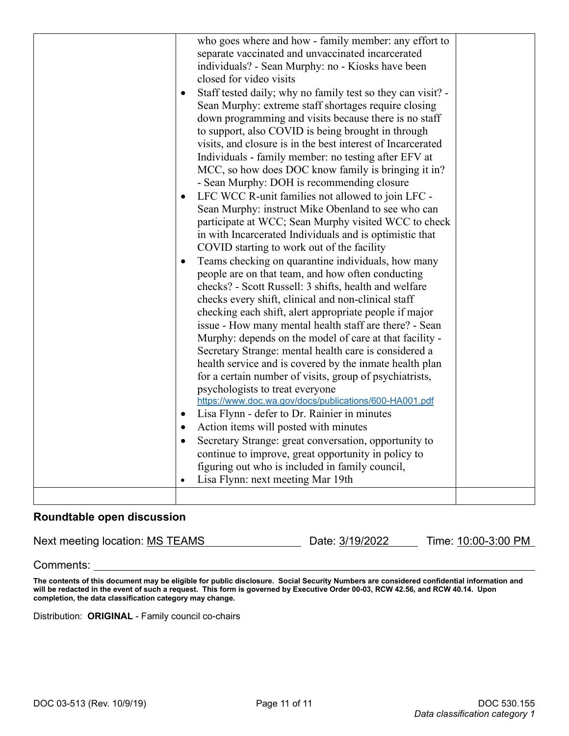|           | who goes where and how - family member: any effort to       |  |
|-----------|-------------------------------------------------------------|--|
|           | separate vaccinated and unvaccinated incarcerated           |  |
|           | individuals? - Sean Murphy: no - Kiosks have been           |  |
|           | closed for video visits                                     |  |
| $\bullet$ | Staff tested daily; why no family test so they can visit? - |  |
|           | Sean Murphy: extreme staff shortages require closing        |  |
|           | down programming and visits because there is no staff       |  |
|           | to support, also COVID is being brought in through          |  |
|           | visits, and closure is in the best interest of Incarcerated |  |
|           | Individuals - family member: no testing after EFV at        |  |
|           | MCC, so how does DOC know family is bringing it in?         |  |
|           | - Sean Murphy: DOH is recommending closure                  |  |
| $\bullet$ | LFC WCC R-unit families not allowed to join LFC -           |  |
|           | Sean Murphy: instruct Mike Obenland to see who can          |  |
|           | participate at WCC; Sean Murphy visited WCC to check        |  |
|           | in with Incarcerated Individuals and is optimistic that     |  |
|           | COVID starting to work out of the facility                  |  |
| $\bullet$ | Teams checking on quarantine individuals, how many          |  |
|           | people are on that team, and how often conducting           |  |
|           | checks? - Scott Russell: 3 shifts, health and welfare       |  |
|           | checks every shift, clinical and non-clinical staff         |  |
|           | checking each shift, alert appropriate people if major      |  |
|           | issue - How many mental health staff are there? - Sean      |  |
|           | Murphy: depends on the model of care at that facility -     |  |
|           | Secretary Strange: mental health care is considered a       |  |
|           | health service and is covered by the inmate health plan     |  |
|           | for a certain number of visits, group of psychiatrists,     |  |
|           | psychologists to treat everyone                             |  |
|           | https://www.doc.wa.gov/docs/publications/600-HA001.pdf      |  |
| $\bullet$ | Lisa Flynn - defer to Dr. Rainier in minutes                |  |
| $\bullet$ | Action items will posted with minutes                       |  |
| $\bullet$ | Secretary Strange: great conversation, opportunity to       |  |
|           | continue to improve, great opportunity in policy to         |  |
|           | figuring out who is included in family council,             |  |
| $\bullet$ | Lisa Flynn: next meeting Mar 19th                           |  |
|           |                                                             |  |
|           |                                                             |  |

## **Roundtable open discussion**

Next meeting location: MS TEAMS Date: 3/19/2022 Time: 10:00-3:00 PM

Comments:

**The contents of this document may be eligible for public disclosure. Social Security Numbers are considered confidential information and will be redacted in the event of such a request. This form is governed by Executive Order 00-03, RCW 42.56, and RCW 40.14. Upon completion, the data classification category may change.**

Distribution: **ORIGINAL** - Family council co-chairs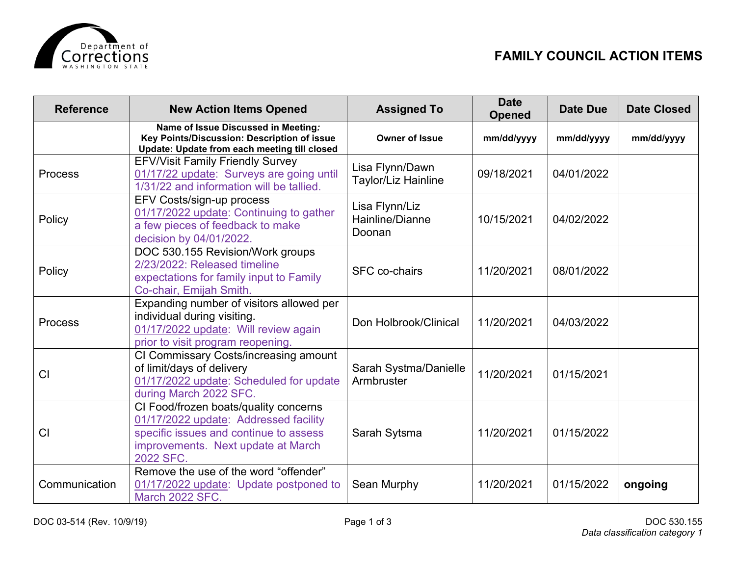

| <b>Reference</b> | <b>New Action Items Opened</b>                                                                                                                                              | <b>Assigned To</b>                          | <b>Date</b><br><b>Opened</b> | <b>Date Due</b> | <b>Date Closed</b> |
|------------------|-----------------------------------------------------------------------------------------------------------------------------------------------------------------------------|---------------------------------------------|------------------------------|-----------------|--------------------|
|                  | Name of Issue Discussed in Meeting:<br>Key Points/Discussion: Description of issue<br>Update: Update from each meeting till closed                                          | <b>Owner of Issue</b>                       | mm/dd/yyyy                   | mm/dd/yyyy      | mm/dd/yyyy         |
| Process          | <b>EFV/Visit Family Friendly Survey</b><br>01/17/22 update: Surveys are going until<br>1/31/22 and information will be tallied.                                             | Lisa Flynn/Dawn<br>Taylor/Liz Hainline      | 09/18/2021                   | 04/01/2022      |                    |
| Policy           | EFV Costs/sign-up process<br>01/17/2022 update: Continuing to gather<br>a few pieces of feedback to make<br>decision by 04/01/2022.                                         | Lisa Flynn/Liz<br>Hainline/Dianne<br>Doonan | 10/15/2021                   | 04/02/2022      |                    |
| Policy           | DOC 530.155 Revision/Work groups<br>2/23/2022: Released timeline<br>expectations for family input to Family<br>Co-chair, Emijah Smith.                                      | <b>SFC</b> co-chairs                        | 11/20/2021                   | 08/01/2022      |                    |
| <b>Process</b>   | Expanding number of visitors allowed per<br>individual during visiting.<br>01/17/2022 update: Will review again<br>prior to visit program reopening.                        | Don Holbrook/Clinical                       | 11/20/2021                   | 04/03/2022      |                    |
| CI               | CI Commissary Costs/increasing amount<br>of limit/days of delivery<br>01/17/2022 update: Scheduled for update<br>during March 2022 SFC.                                     | Sarah Systma/Danielle<br>Armbruster         | 11/20/2021                   | 01/15/2021      |                    |
| CI               | CI Food/frozen boats/quality concerns<br>01/17/2022 update: Addressed facility<br>specific issues and continue to assess<br>improvements. Next update at March<br>2022 SFC. | Sarah Sytsma                                | 11/20/2021                   | 01/15/2022      |                    |
| Communication    | Remove the use of the word "offender"<br>01/17/2022 update: Update postponed to<br>March 2022 SFC.                                                                          | Sean Murphy                                 | 11/20/2021                   | 01/15/2022      | ongoing            |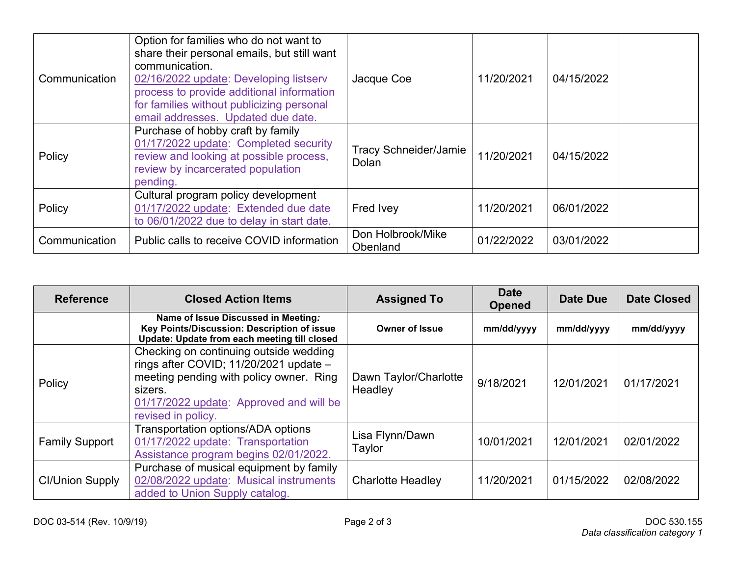| Communication | Option for families who do not want to<br>share their personal emails, but still want<br>communication.<br>02/16/2022 update: Developing listserv<br>process to provide additional information<br>for families without publicizing personal<br>email addresses. Updated due date. | Jacque Coe                            | 11/20/2021 | 04/15/2022 |  |
|---------------|-----------------------------------------------------------------------------------------------------------------------------------------------------------------------------------------------------------------------------------------------------------------------------------|---------------------------------------|------------|------------|--|
| Policy        | Purchase of hobby craft by family<br>01/17/2022 update: Completed security<br>review and looking at possible process,<br>review by incarcerated population<br>pending.                                                                                                            | <b>Tracy Schneider/Jamie</b><br>Dolan | 11/20/2021 | 04/15/2022 |  |
| Policy        | Cultural program policy development<br>01/17/2022 update: Extended due date<br>to 06/01/2022 due to delay in start date.                                                                                                                                                          | Fred Ivey                             | 11/20/2021 | 06/01/2022 |  |
| Communication | Public calls to receive COVID information                                                                                                                                                                                                                                         | Don Holbrook/Mike<br><b>Obenland</b>  | 01/22/2022 | 03/01/2022 |  |

| <b>Reference</b>       | <b>Closed Action Items</b>                                                                                                                                                                              | <b>Assigned To</b>               | <b>Date</b><br><b>Opened</b> | Date Due   | <b>Date Closed</b> |
|------------------------|---------------------------------------------------------------------------------------------------------------------------------------------------------------------------------------------------------|----------------------------------|------------------------------|------------|--------------------|
|                        | Name of Issue Discussed in Meeting:<br>Key Points/Discussion: Description of issue<br>Update: Update from each meeting till closed                                                                      | <b>Owner of Issue</b>            | mm/dd/yyyy                   | mm/dd/yyyy | mm/dd/yyyy         |
| Policy                 | Checking on continuing outside wedding<br>rings after COVID; 11/20/2021 update -<br>meeting pending with policy owner. Ring<br>sizers.<br>01/17/2022 update: Approved and will be<br>revised in policy. | Dawn Taylor/Charlotte<br>Headley | 9/18/2021                    | 12/01/2021 | 01/17/2021         |
| <b>Family Support</b>  | Transportation options/ADA options<br>01/17/2022 update: Transportation<br>Assistance program begins 02/01/2022.                                                                                        | Lisa Flynn/Dawn<br>Taylor        | 10/01/2021                   | 12/01/2021 | 02/01/2022         |
| <b>CI/Union Supply</b> | Purchase of musical equipment by family<br>02/08/2022 update: Musical instruments<br>added to Union Supply catalog.                                                                                     | <b>Charlotte Headley</b>         | 11/20/2021                   | 01/15/2022 | 02/08/2022         |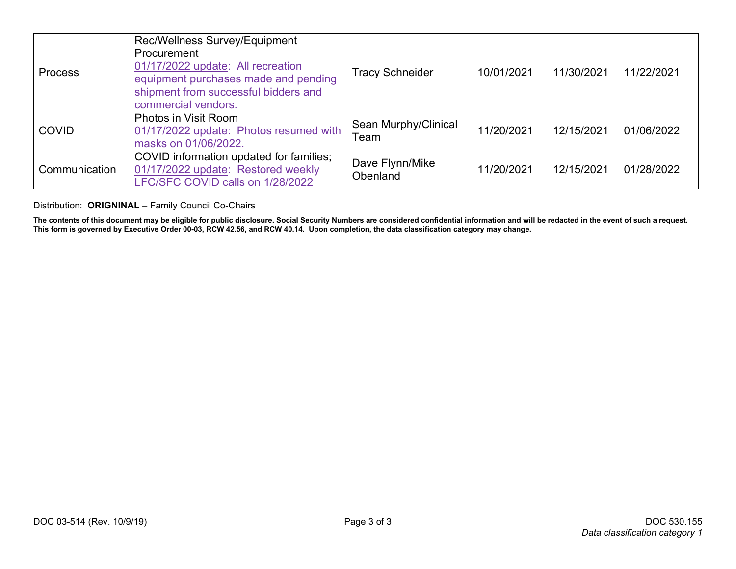| <b>Process</b> | Rec/Wellness Survey/Equipment<br>Procurement<br>01/17/2022 update: All recreation<br>equipment purchases made and pending<br>shipment from successful bidders and<br>commercial vendors. | <b>Tracy Schneider</b>       | 10/01/2021 | 11/30/2021 | 11/22/2021 |
|----------------|------------------------------------------------------------------------------------------------------------------------------------------------------------------------------------------|------------------------------|------------|------------|------------|
| <b>COVID</b>   | Photos in Visit Room<br>01/17/2022 update: Photos resumed with<br>masks on 01/06/2022.                                                                                                   | Sean Murphy/Clinical<br>Team | 11/20/2021 | 12/15/2021 | 01/06/2022 |
| Communication  | COVID information updated for families;<br>01/17/2022 update: Restored weekly<br>LFC/SFC COVID calls on 1/28/2022                                                                        | Dave Flynn/Mike<br>Obenland  | 11/20/2021 | 12/15/2021 | 01/28/2022 |

Distribution: **ORIGNINAL** – Family Council Co-Chairs

**The contents of this document may be eligible for public disclosure. Social Security Numbers are considered confidential information and will be redacted in the event of such a request. This form is governed by Executive Order 00-03, RCW 42.56, and RCW 40.14. Upon completion, the data classification category may change.**